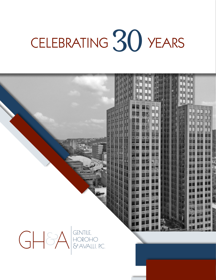# CELEBRATING 30 YEARS

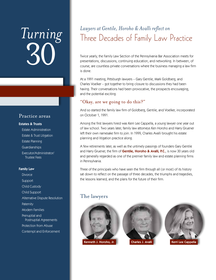# *Turning* 30

#### Practice areas

#### Estates & Trusts

Estate Administration Estate & Trust Litigation Estate Planning Guardianships Executor/Administrator/ Trustee Fees

#### Family Law

**Divorce** Support Child Custody Child Support Alternative Dispute Resolution **Paternity** Modern Families Prenuptial and Postnuptial Agreements Protection from Abuse Contempt and Enforcement

## *Lawyers at Gentile, Horoho & Avalli reflect on*  Three Decades of Family Law Practice

Twice yearly, the Family Law Section of the Pennsylvania Bar Association meets for presentations, discussions, continuing education, and networking. In between, of course, are countless private conversations where the business managing a law firm is done.

At a 1991 meeting, Pittsburgh lawyers – Gary Gentile, Mark Goldberg, and Charles Voelker – got together to bring closure to discussions they had been having. Their conversations had been provocative, the prospects encouraging, and the potential exciting.

#### "Okay, are we going to do this?"

And so started the family law firm of Goldberg, Gentile, and Voelker, incorporated on October 1, 1991.

Among the first lawyers hired was Kerri Lee Cappella, a young lawyer one year out of law school. Two years later, family law attorneys Ken Horoho and Harry Gruener left their own namesake firm to join. In 1999, Charles Avalli brought his estate planning and litigation practice along.

A few retirements later, as well as the untimely passings of founders Gary Gentile and Harry Gruener, the firm of Gentile, Horoho & Avalli, P.C., is now 30 years old and generally regarded as one of the premier family law and estate planning firms in Pennsylvania.

Three of the principals who have seen the firm through all (or most) of its history sat down to reflect on the passage of three decades, the triumphs and tragedies, the lessons learned, and the plans for the future of their firm.

#### The lawyers





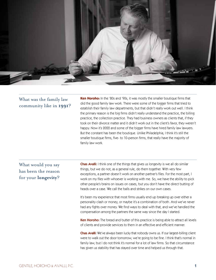

#### What was the family law community like in **1991**?

**Ken Horoho:** In the '80s and '90s, it was mostly the smaller boutique firms that did the good family law work. There were some of the bigger firms that tried to establish their family law departments, but that didn't really work out well. I think the primary reason is the big firms didn't really understand the practice, the billing practice, the collection practice. They had business owners as clients that, if they took on their divorce matter and it didn't work out in the client's favor, they weren't happy. Now it's 2022 and some of the bigger firms have hired family law lawyers. But the constant has been the boutique. Unlike Philadelphia, I think it's still the smaller boutique firms, five- to 10-person firms, that really have the majority of family law work.

#### What would you say has been the reason for your **longevity**?

Chas Avalli: I think one of the things that gives us longevity is we all do similar things, but we do not, as a general rule, do them together. With very few exceptions, a partner doesn't work on another partner's files. For the most part, I work on my files with whoever is working with me. So, we have the ability to pick other people's brains on issues on cases, but you don't have the direct butting of heads over a case. We call the balls and strikes on our own cases.

It's been my experience that most firms usually end up breaking up over either a personality clash or money, or maybe it's a combination of both. And we've never had any fights over money. We find ways to deal with that, and we've handled the compensation among the partners the same way since the day I started.

Ken Horoho: The bread and butter of this practice is being able to attract all levels of clients and provide services to them in an effective and efficient manner.

Chas Avalli: We've always been lucky that nobody owns us. If our largest-billing client were to walk out the door tomorrow, we're going to be fine. I think that's normal in family law, but I do not think it's normal for a lot of law firms. So that circumstance has given us stability that has stayed over time and helped us through that.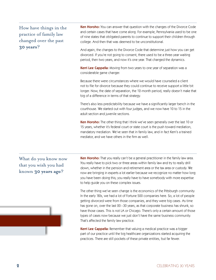### How have things in the practice of family law changed over the past **30 years**?

Ken Horoho: You can answer that question with the changes of the Divorce Code and certain cases that have come along. For example, Pennsylvania used to be one of nine states that obligated parents to continue to support their children through college. And then that was deemed to be unconstitutional.

And again, the changes to the Divorce Code that determine just how you can get divorced. If you're not going to consent, there used to be a three-year waiting period, then two years, and now it's one year. That changed the dynamics.

Kerri Lee Cappella: Moving from two years to one year of separation was a considerable game changer.

Because there were circumstances where we would have counseled a client not to file for divorce because they could continue to receive support a little bit longer. Now, the date of separation, the 12-month period, really doesn't make that big of a difference in terms of that strategy.

There's also less predictability because we have a significantly larger bench in the courthouse. We started out with four judges, and we now have 10 to 15 in the adult section and juvenile sections.

Ken Horoho: The other thing that I think we've seen generally over the last 10 or 15 years, whether it's federal court or state court is the push toward mediation, mandatory mediation. We've seen that in family law, and in fact Kerri's a trained mediator, and we have others in the firm as well.

What do you know now that you wish you had known **30 years ago**?

Ken Horoho: That you really can't be a general practitioner in the family law area. You really have to pick two or three areas within family law and try to really drill down, whether in the pension and retirement area or the tax area or custody. We now are bringing in experts a lot earlier because we recognize no matter how long you have been doing this; you really have to have somebody with more expertise to help guide you on these complex issues.

The other thing we've seen change is the economics of the Pittsburgh community. In the early '80s, we had a lot of Fortune 500 companies here. So, a lot of people getting divorced were from those companies, and they were big cases. As time has gone on, over the last 20 –30 years, as that corporate business has shrunk, so have those cases. This is not LA or Chicago. There's only a certain amount of those types of cases now because we just don't have the same business community. That's affected the family law practice.

Kerri Lee Cappella: Remember that valuing a medical practice was a bigger part of our practice until the big healthcare organizations started acquiring the practices. There are still pockets of these private entities, but far fewer.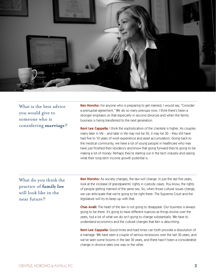

What is the best advice you would give to someone who is considering **marriage**?

Ken Horoho: For anyone who is preparing to get married, I would say, "Consider a prenuptial agreement." We do so many prenups now. I think there's been a stronger emphasis on that especially in second divorces and when the family business is being transferred to the next generation.

Kerri Lee Cappella: I think the sophistication of the clientele is higher. As couples marry later in life – and later in life may not be 50, it may be 30 – they still have had five to 10 years of work experience and asset accumulation. Going back to the medical community, we have a lot of young people in healthcare who may have just finished their residency and know that going forward they're going to be making a lot of money. Perhaps they're starting out in the tech industry and seeing what their long-term income growth potential is.

What do you think the practice of **family law**  will look like in the near future?

Ken Horoho: As society changes, the law will change. In just the last five years, look at the increase of grandparents' rights in custody cases. You know, the rights of people getting married of the same sex. So, when those cultural issues change, we can anticipate that we're going to be right there. The Supreme Court and the legislature will try to keep up with that.

Chas Avalli: The heart of the law is not going to disappear. Our business is always going to be there. It's going to have different nuances as things evolve over the years, but a lot of what we do isn't going to change substantially. We have to understand economics and the cultural changes that Ken is describing.

Kerri Lee Cappella: Good times and bad times can both provoke a dissolution of a marriage. We have seen a couple of serious recessions over the last 30 years, and we've seen some booms in the last 30 years, and there hasn't been a considerable change in divorce rates one way or the other.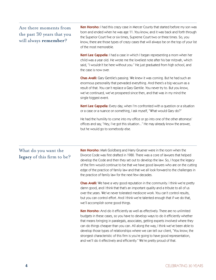#### Are there moments from the past 30 years that you will always **remember**?

Ken Horoho: I had this crazy case in Mercer County that started before my son was born and ended when he was age 11. You know, and it was back and forth through the Superior Court five or six times, Supreme Court two or three times. So, you know, there are those types of crazy cases that will always be on the top of your list of the most memorable.

Kerri Lee Cappella: I had a case in which I began representing a mom when her child was a year old. He wrote me the loveliest note after his bar mitzvah, which said, "I wouldn't be here without you." He just graduated from high school, and the case is now over.

Chas Avalli: Gary Gentile's passing. We knew it was coming. But he had such an enormous personality that pervaded everything. And there's a big vacuum as a result of that. You can't replace a Gary Gentile. You never try to. But you know, we've continued, we've prospered since then, and that was in my mind the single biggest event.

Kerri Lee Cappella: Every day, when I'm confronted with a question or a situation or a case or a nuance on something, I ask myself, "What would Gary do?"

He had the humility to come into my office or go into one of the other attorneys' offices and say, "Hey, I've got this situation..." He may already know the answer, but he would go to somebody else.

#### What do you want the **legacy** of this firm to be?

Ken Horoho: Mark Goldberg and Harry Gruener were in the room when the Divorce Code was first drafted in 1980. There was a core of lawyers that helped develop the Code and then they set out to develop the law. So, I hope the legacy of the firm would continue to be that we have good lawyers who are on the cutting edge of the practice of family law and that we all look forward to the challenges in the practice of family law for the next few decades.

**Chas Avalli:** We have a very good reputation in the community. I think we're pretty damn good, and I think that that's an important quality and a tribute to all of us over the years. We've never tolerated mediocre work. You can't control results, but you can control effort. And I think we're talented enough that if we do that, we'll accomplish some good things.

Ken Horoho: And do it efficiently as well as effectively. There are no unlimited budgets in these cases, so you have to develop ways to do it efficiently whether that means bringing in paralegals, associates, getting experts involved where they can do things cheaper than you can. All along the way, I think we've been able to develop those types of relationships where we can tell our client, "You know, the strongest characteristic of this firm is you're going to have good representation, and we'll do it effectively and efficiently." We're pretty proud of that.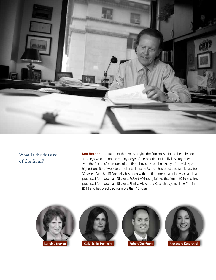

### What is the **future** of the firm?

Ken Horoho: The future of the firm is bright. The firm boasts four other talented attorneys who are on the cutting edge of the practice of family law. Together with the "historic" members of the firm, they carry on the legacy of providing the highest quality of work to our clients. Lorraine Mervan has practiced family law for 30 years. Carla Schiff Donnelly has been with the firm more than nine years and has practiced for more than 25 years. Robert Weinberg joined the firm in 2016 and has practiced for more than 15 years. Finally, Alexandra Kovalchick joined the firm in 2018 and has practiced for more than 15 years.





Lorraine Mervan **Carla Schiff Donnelly Robert Weinberg Alexandra Kovalchick**